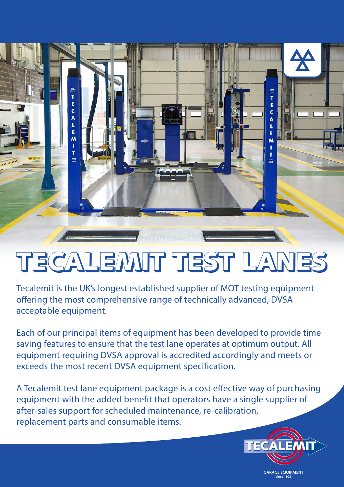

# TECALEMIT TEST LANES

Tecalemit is the UK's longest established supplier of MOT testing equipment offering the most comprehensive range of technically advanced, DVSA acceptable equipment.

Each of our principal items of equipment has been developed to provide time saving features to ensure that the test lane operates at optimum output. All equipment requiring DVSA approval is accredited accordingly and meets or exceeds the most recent DVSA equipment specification.

A Tecalemit test lane equipment package is a cost effective way of purchasing equipment with the added benefit that operators have a single supplier of after-sales support for scheduled maintenance, re-calibration, replacement parts and consumable items.



**GARAGE EQUIPMENT** since 1922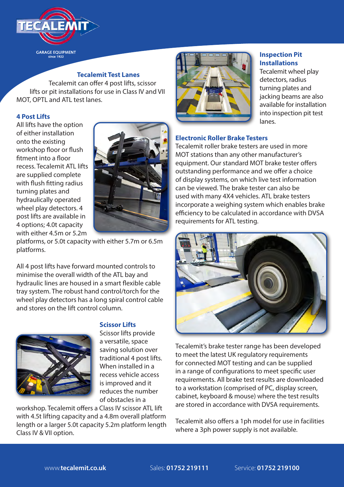

**GARAGE EQUIPMENT** 

# **Tecalemit Test Lanes**

Tecalemit can offer 4 post lifts, scissor lifts or pit installations for use in Class IV and VII MOT, OPTL and ATL test lanes.

#### **4 Post Lifts**

All lifts have the option of either installation onto the existing workshop floor or flush fitment into a floor recess. Tecalemit ATL lifts are supplied complete with flush fitting radius turning plates and hydraulically operated wheel play detectors. 4 post lifts are available in 4 options; 4.0t capacity with either 4.5m or 5.2m



platforms, or 5.0t capacity with either 5.7m or 6.5m platforms.

All 4 post lifts have forward mounted controls to minimise the overall width of the ATL bay and hydraulic lines are housed in a smart flexible cable tray system. The robust hand control/torch for the wheel play detectors has a long spiral control cable and stores on the lift control column.



# **Scissor Lifts**

Scissor lifts provide a versatile, space saving solution over traditional 4 post lifts. When installed in a recess vehicle access is improved and it reduces the number of obstacles in a

workshop. Tecalemit offers a Class IV scissor ATL lift with 4.5t lifting capacity and a 4.8m overall platform length or a larger 5.0t capacity 5.2m platform length Class IV & VII option.



#### **Inspection Pit Installations**

Tecalemit wheel play detectors, radius turning plates and jacking beams are also available for installation into inspection pit test lanes.

#### **Electronic Roller Brake Testers**

Tecalemit roller brake testers are used in more MOT stations than any other manufacturer's equipment. Our standard MOT brake tester offers outstanding performance and we offer a choice of display systems, on which live test information can be viewed. The brake tester can also be used with many 4X4 vehicles. ATL brake testers incorporate a weighing system which enables brake efficiency to be calculated in accordance with DVSA requirements for ATL testing.



Tecalemit's brake tester range has been developed to meet the latest UK regulatory requirements for connected MOT testing and can be supplied in a range of configurations to meet specific user requirements. All brake test results are downloaded to a workstation (comprised of PC, display screen, cabinet, keyboard & mouse) where the test results are stored in accordance with DVSA requirements.

Tecalemit also offers a 1ph model for use in facilities where a 3ph power supply is not available.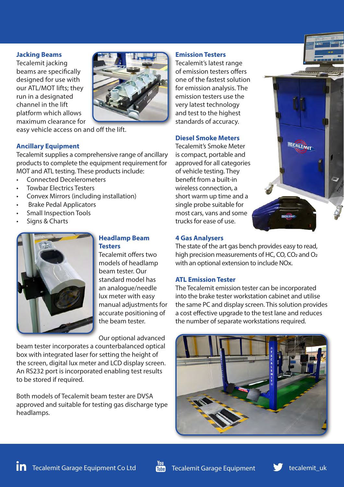#### **Jacking Beams**

Tecalemit jacking beams are specifically designed for use with our ATL/MOT lifts; they run in a designated channel in the lift platform which allows maximum clearance for



easy vehicle access on and off the lift.

#### **Ancillary Equipment**

Tecalemit supplies a comprehensive range of ancillary products to complete the equipment requirement for MOT and ATL testing. These products include:

- Connected Decelerometers
- Towbar Electrics Testers
- Convex Mirrors (including installation)
- Brake Pedal Applicators
- Small Inspection Tools
- Signs & Charts



# **Headlamp Beam Testers**

Tecalemit offers two models of headlamp beam tester. Our standard model has an analogue/needle lux meter with easy manual adjustments for accurate positioning of the beam tester.

Our optional advanced

beam tester incorporates a counterbalanced optical box with integrated laser for setting the height of the screen, digital lux meter and LCD display screen. An RS232 port is incorporated enabling test results to be stored if required.

Both models of Tecalemit beam tester are DVSA approved and suitable for testing gas discharge type headlamps.

#### **Emission Testers**

Tecalemit's latest range of emission testers offers one of the fastest solution for emission analysis. The emission testers use the very latest technology and test to the highest standards of accuracy.

#### **Diesel Smoke Meters**

Tecalemit's Smoke Meter is compact, portable and approved for all categories of vehicle testing. They benefit from a built-in wireless connection, a short warm up time and a single probe suitable for most cars, vans and some trucks for ease of use.



#### **4 Gas Analysers**

The state of the art gas bench provides easy to read, high precision measurements of HC, CO, CO<sub>2</sub> and O<sub>2</sub> with an optional extension to include NOx.

#### **ATL Emission Tester**

The Tecalemit emission tester can be incorporated into the brake tester workstation cabinet and utilise the same PC and display screen. This solution provides a cost effective upgrade to the test lane and reduces the number of separate workstations required.